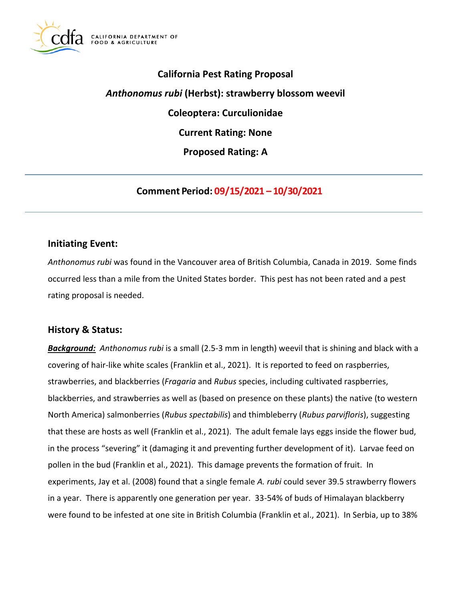

# **California Pest Rating Proposal**  *Anthonomus rubi* **(Herbst): strawberry blossom weevil Coleoptera: Curculionidae Current Rating: None Proposed Rating: A**

**Comment Period: 09/15/2021 – 10/30/2021**

## **Initiating Event:**

*Anthonomus rubi* was found in the Vancouver area of British Columbia, Canada in 2019. Some finds occurred less than a mile from the United States border. This pest has not been rated and a pest rating proposal is needed.

## **History & Status:**

*Background: Anthonomus rubi* is a small (2.5-3 mm in length) weevil that is shining and black with a covering of hair-like white scales (Franklin et al., 2021). It is reported to feed on raspberries, strawberries, and blackberries (*Fragaria* and *Rubus* species, including cultivated raspberries, blackberries, and strawberries as well as (based on presence on these plants) the native (to western North America) salmonberries (*Rubus spectabilis*) and thimbleberry (*Rubus parvifloris*), suggesting that these are hosts as well (Franklin et al., 2021). The adult female lays eggs inside the flower bud, in the process "severing" it (damaging it and preventing further development of it). Larvae feed on pollen in the bud (Franklin et al., 2021). This damage prevents the formation of fruit. In experiments, Jay et al. (2008) found that a single female *A. rubi* could sever 39.5 strawberry flowers in a year. There is apparently one generation per year. 33-54% of buds of Himalayan blackberry were found to be infested at one site in British Columbia (Franklin et al., 2021). In Serbia, up to 38%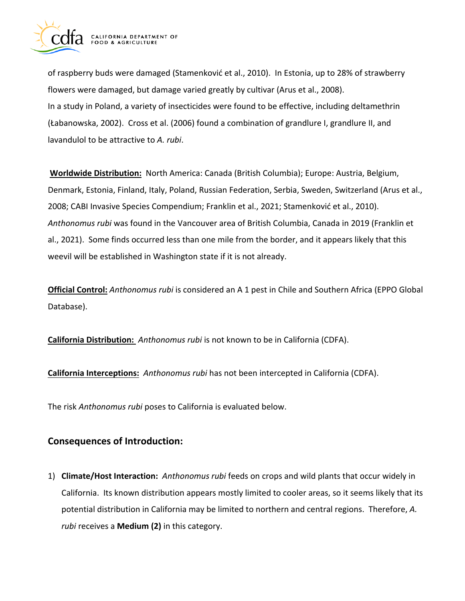

of raspberry buds were damaged (Stamenković et al., 2010). In Estonia, up to 28% of strawberry flowers were damaged, but damage varied greatly by cultivar (Arus et al., 2008). In a study in Poland, a variety of insecticides were found to be effective, including deltamethrin (Łabanowska, 2002). Cross et al. (2006) found a combination of grandlure I, grandlure II, and lavandulol to be attractive to *A. rubi*.

 2008; CABI Invasive Species Compendium; Franklin et al., 2021; Stamenković et al., 2010). **Worldwide Distribution:** North America: Canada (British Columbia); Europe: Austria, Belgium, Denmark, Estonia, Finland, Italy, Poland, Russian Federation, Serbia, Sweden, Switzerland (Arus et al., *Anthonomus rubi* was found in the Vancouver area of British Columbia, Canada in 2019 (Franklin et al., 2021). Some finds occurred less than one mile from the border, and it appears likely that this weevil will be established in Washington state if it is not already.

**Official Control:** *Anthonomus rubi* is considered an A 1 pest in Chile and Southern Africa (EPPO Global Database).

**California Distribution:** *Anthonomus rubi* is not known to be in California (CDFA).

**California Interceptions:** *Anthonomus rubi* has not been intercepted in California (CDFA).

The risk *Anthonomus rubi* poses to California is evaluated below.

# **Consequences of Introduction:**

1) **Climate/Host Interaction:** *Anthonomus rubi* feeds on crops and wild plants that occur widely in California. Its known distribution appears mostly limited to cooler areas, so it seems likely that its potential distribution in California may be limited to northern and central regions. Therefore, *A. rubi* receives a **Medium (2)** in this category.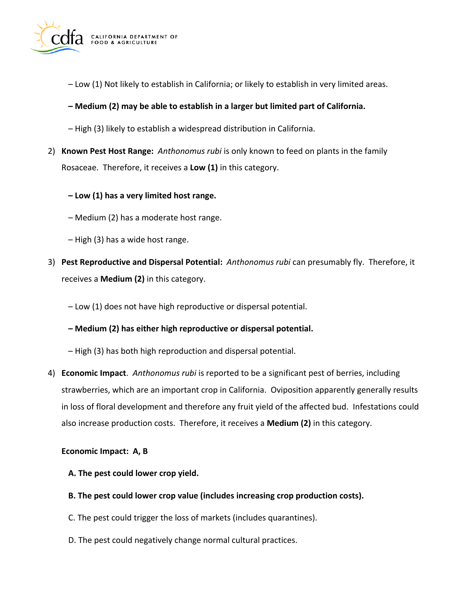

– Low (1) Not likely to establish in California; or likely to establish in very limited areas.

## **– Medium (2) may be able to establish in a larger but limited part of California.**

- High (3) likely to establish a widespread distribution in California.
- 2) **Known Pest Host Range:** *Anthonomus rubi* is only known to feed on plants in the family Rosaceae. Therefore, it receives a **Low (1)** in this category.
	- **– Low (1) has a very limited host range.**
	- Medium (2) has a moderate host range.
	- High (3) has a wide host range.
- 3) **Pest Reproductive and Dispersal Potential:** *Anthonomus rubi* can presumably fly. Therefore, it receives a **Medium (2)** in this category.
	- Low (1) does not have high reproductive or dispersal potential.
	- **– Medium (2) has either high reproductive or dispersal potential.**
	- High (3) has both high reproduction and dispersal potential.
- 4) **Economic Impact**. *Anthonomus rubi* is reported to be a significant pest of berries, including strawberries, which are an important crop in California. Oviposition apparently generally results in loss of floral development and therefore any fruit yield of the affected bud. Infestations could also increase production costs. Therefore, it receives a **Medium (2)** in this category.

#### **Economic Impact: A, B**

- **A. The pest could lower crop yield.**
- **B. The pest could lower crop value (includes increasing crop production costs).**
- C. The pest could trigger the loss of markets (includes quarantines).
- D. The pest could negatively change normal cultural practices.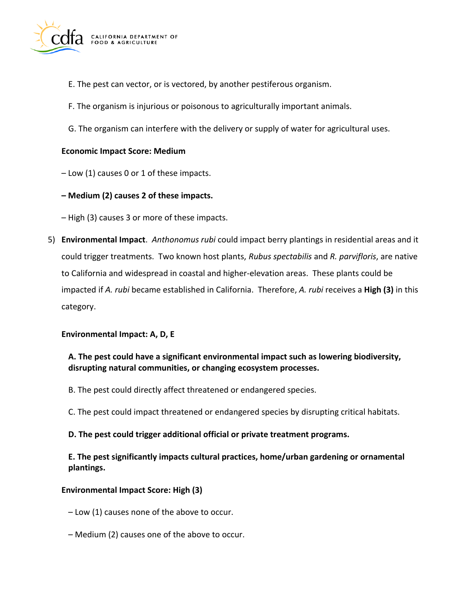

- E. The pest can vector, or is vectored, by another pestiferous organism.
- F. The organism is injurious or poisonous to agriculturally important animals.
- G. The organism can interfere with the delivery or supply of water for agricultural uses.

#### **Economic Impact Score: Medium**

– Low (1) causes 0 or 1 of these impacts.

#### **– Medium (2) causes 2 of these impacts.**

– High (3) causes 3 or more of these impacts.

5) **Environmental Impact**. *Anthonomus rubi* could impact berry plantings in residential areas and it could trigger treatments. Two known host plants, *Rubus spectabilis* and *R. parvifloris*, are native to California and widespread in coastal and higher-elevation areas. These plants could be impacted if *A. rubi* became established in California. Therefore, *A. rubi* receives a **High (3)** in this category.

#### **Environmental Impact: A, D, E**

## **A. The pest could have a significant environmental impact such as lowering biodiversity, disrupting natural communities, or changing ecosystem processes.**

- B. The pest could directly affect threatened or endangered species.
- C. The pest could impact threatened or endangered species by disrupting critical habitats.
- **D. The pest could trigger additional official or private treatment programs.**

## **E. The pest significantly impacts cultural practices, home/urban gardening or ornamental plantings.**

#### **Environmental Impact Score: High (3)**

- Low (1) causes none of the above to occur.
- Medium (2) causes one of the above to occur.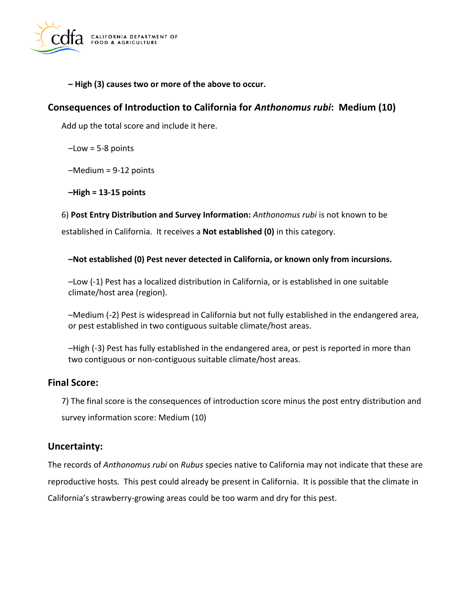

**– High (3) causes two or more of the above to occur.** 

# **Consequences of Introduction to California for** *Anthonomus rubi***: Medium (10)**

Add up the total score and include it here.

 $-Low = 5-8$  points

–Medium = 9-12 points

**–High = 13-15 points** 

6) **Post Entry Distribution and Survey Information:** *Anthonomus rubi* is not known to be established in California. It receives a **Not established (0)** in this category.

**–Not established (0) Pest never detected in California, or known only from incursions.** 

–Low (-1) Pest has a localized distribution in California, or is established in one suitable climate/host area (region).

–Medium (-2) Pest is widespread in California but not fully established in the endangered area, or pest established in two contiguous suitable climate/host areas.

–High (-3) Pest has fully established in the endangered area, or pest is reported in more than two contiguous or non-contiguous suitable climate/host areas.

# **Final Score:**

7) The final score is the consequences of introduction score minus the post entry distribution and survey information score: Medium (10)

# **Uncertainty:**

The records of *Anthonomus rubi* on *Rubus* species native to California may not indicate that these are reproductive hosts. This pest could already be present in California. It is possible that the climate in California's strawberry-growing areas could be too warm and dry for this pest.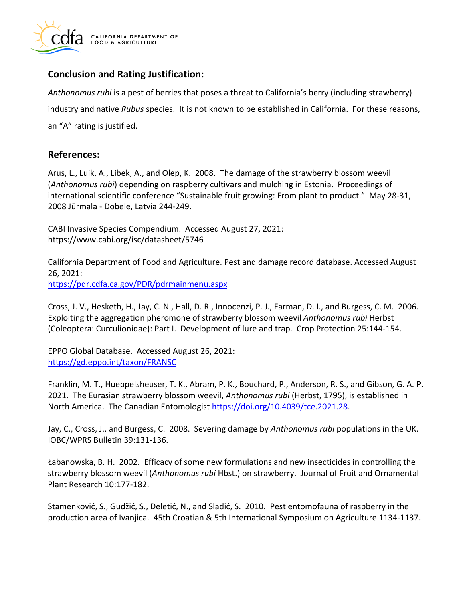

# **Conclusion and Rating Justification:**

*Anthonomus rubi* is a pest of berries that poses a threat to California's berry (including strawberry) industry and native *Rubus* species. It is not known to be established in California. For these reasons, an "A" rating is justified.

# **References:**

Arus, L., Luik, A., Libek, A., and Olep, K. 2008. The damage of the strawberry blossom weevil (*Anthonomus rubi*) depending on raspberry cultivars and mulching in Estonia. Proceedings of international scientific conference "Sustainable fruit growing: From plant to product." May 28-31, 2008 Jūrmala - Dobele, Latvia 244-249.

CABI Invasive Species Compendium. Accessed August 27, 2021: <https://www.cabi.org/isc/datasheet/5746>

California Department of Food and Agriculture. Pest and damage record database. Accessed August 26, 2021: <https://pdr.cdfa.ca.gov/PDR/pdrmainmenu.aspx>

Cross, J. V., Hesketh, H., Jay, C. N., Hall, D. R., Innocenzi, P. J., Farman, D. I., and Burgess, C. M. 2006. Exploiting the aggregation pheromone of strawberry blossom weevil *Anthonomus rubi* Herbst (Coleoptera: Curculionidae): Part I. Development of lure and trap. Crop Protection 25:144-154.

EPPO Global Database. Accessed August 26, 2021: <https://gd.eppo.int/taxon/FRANSC>

Franklin, M. T., Hueppelsheuser, T. K., Abram, P. K., Bouchard, P., Anderson, R. S., and Gibson, G. A. P. 2021. The Eurasian strawberry blossom weevil, *Anthonomus rubi* (Herbst, 1795), is established in North America. The Canadian Entomologist [https://doi.org/10.4039/tce.2021.28.](https://doi.org/10.4039/tce.2021.28)

Jay, C., Cross, J., and Burgess, C. 2008. Severing damage by *Anthonomus rubi* populations in the UK. IOBC/WPRS Bulletin 39:131-136.

Łabanowska, B. H. 2002. Efficacy of some new formulations and new insecticides in controlling the strawberry blossom weevil (*Anthonomus rubi* Hbst.) on strawberry. Journal of Fruit and Ornamental Plant Research 10:177-182.

Stamenković, S., Gudžić, S., Deletić, N., and Sladić, S. 2010. Pest entomofauna of raspberry in the production area of Ivanjica. 45th Croatian & 5th International Symposium on Agriculture 1134-1137.